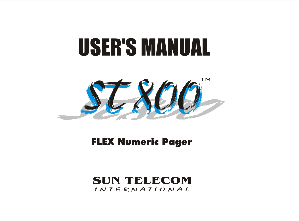# USER'S MANUAL



FLEX Numeric Pager

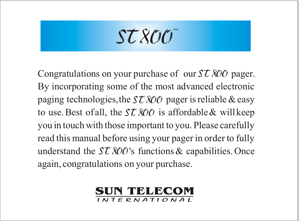ST800

Congratulations on your purchase of our  $ST$  800 pager. By incorporating some of the most advanced electronic paging technologies, the  $\mathcal{ST} \mathcal{X} \mathcal{O} \mathcal{O}$  pager is reliable & easy to use. Best of all, the  $\mathcal{ST} \mathcal{X} \mathcal{O} \mathcal{O}$  is affordable & will keep you in touch with those important to you. Please carefully read this manual before using your pager in order to fully understand the  $\mathcal{ST} \mathcal{X} \mathcal{O} \mathcal{O}'$ 's functions & capabilities. Once again, congratulations on your purchase.

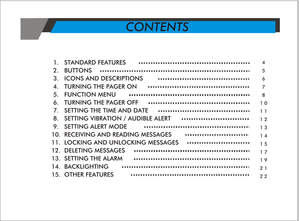## *CONTENTS*

| 1.             | <b>STANDARD FEATURES</b>               | $\boldsymbol{\Lambda}$ |
|----------------|----------------------------------------|------------------------|
| 2.             | <b>BUTTONS</b>                         | 5                      |
| 3.             | <br><b>ICONS AND DESCRIPTIONS</b>      | 6                      |
| $\Delta$       | TURNING THE PAGER ON                   | $\overline{7}$         |
| 5.             | <b>FUNCTION MENU</b>                   | 8                      |
| 6.             | <b>TURNING THE PAGER OFF</b>           | 1 <sub>0</sub>         |
| 7 <sup>1</sup> | SETTING THE TIME AND DATE<br>          | 11                     |
| 8.             |                                        | 12                     |
| 9.             | SETTING ALERT MODE                     | 13                     |
|                | <br>10. RECEIVING AND READING MESSAGES | 14                     |
|                | 11. LOCKING AND UNLOCKING MESSAGES<br> | 15                     |
|                | 12. DELETING MESSAGES                  | 17                     |
|                | 13. SETTING THE ALARM                  | 19                     |
|                | 14. BACKLIGHTING                       | 21                     |
|                | <b>15. OTHER FEATURES</b>              | 22                     |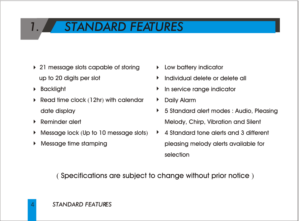### *1. STANDARD FEATURES*

- ▶ 21 message slots capable of storing up to 20 digits per slot
- Backlight
- Read time clock (12hr) with calendar date display
- Reminder alert
- Message lock (Up to 10 message slots) ь
- Message time stamping
- **Low battery indicator**
- Individual delete or delete all
- **In service range indicator**
- Daily Alarm
- 5 Standard alert modes : Audio, Pleasing Melody, Chirp, Vibration and Silent
- 4 Standard tone alerts and 3 different pleasing melody alerts available for selection

( Specifications are subject to change without prior notice )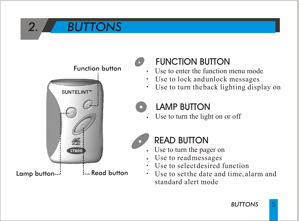# *2. BUTTONS*



### FUNCTION BUTTON

- Use to enter the function menu mode
- Use to lock and unlock messages
- Use to turn the back lighting display on

#### LAMP BUTTON

Use to turn the light on or off



### READ BUTTON

- Use to turn the pager on
- Use to read messages
- $\frac{1}{2}$  Use to select desired function<br> $\frac{1}{2}$  Read button  $\frac{1}{2}$  Use to set the date and time all
	- Use to set the date and time, alarm and standard alert mode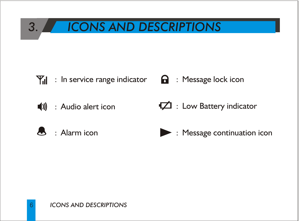### *3. ICONS AND DESCRIPTIONS*

- $\mathbf{Y}_{\mathbf{d}}$  : In service range indicator
- (1) : Audio alert icon
- $\mathbb{R}$  : Alarm icon
- **a** : Message lock icon
- : Low Battery indicator
- **EXECUTE:** Message continuation icon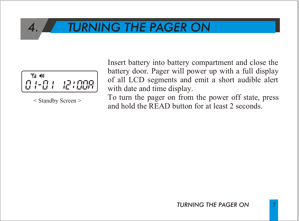### *4. TURNING THE PAGER ON*



< Standby Screen >

Insert battery into battery compartment and close the battery door. Pager will power up with a full display of all LCD segments and emit a short audible alert with date and time display.

To turn the pager on from the power off state, press and hold the READ button for at least 2 seconds.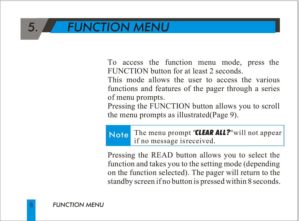### *5. FUNCTION MENU*

To access the function menu mode, press the FUNCTION button for at least 2 seconds.

This mode allows the user to access the various functions and features of the pager through a series of menu prompts.

Pressing the FUNCTION button allows you to scroll the menu prompts as illustrated(Page 9).

Note The menu prompt "*CLEAR ALL?*"will not appear if no message is received.

Pressing the READ button allows you to select the function and takes you to the setting mode (depending on the function selected). The pager will return to the standby screen if no button is pressed within 8 seconds.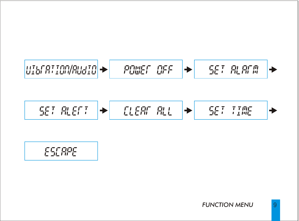/

$$
\in \mathsf{SCBPE}
$$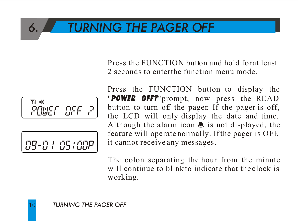### *6. TURNING THE PAGER OFF*

Press the FUNCTION button and hold for at least 2 seconds to enter the function menu mode.





Press the FUNCTION button to display the "*POWER OFF?*"prompt, now press the READ button to turn off the pager. If the pager is off, the LCD will only display the date and time. Although the alarm icon  $\triangle$  is not displayed, the feature will operate normally. If the pager is OFF, it cannot receive any messages.

The colon separating the hour from the minute will continue to blink to indicate that the clock is working.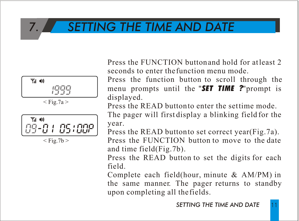### *7. SETTING THE TIME AND DATE*





 $<$  Fig.7b  $>$ 

Press the FUNCTION button and hold for at least 2 seconds to enter the function menu mode.

Press the function button to scroll through the menu prompts until the "*SET TIME ?*"prompt is displayed.

Press the READ button to enter the set time mode.

The pager will first display a blinking field for the year.

Press the READ button to set correct year(Fig.7a). Press the FUNCTION button to move to the date and time field(Fig.7b).

Press the READ button to set the digits for each field.

Complete each field(hour, minute & AM/PM) in the same manner. The pager returns to standby upon completing all the fields.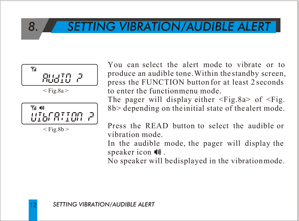### *8. SETTING VIBRATION/AUDIBLE ALERT*



 $<$  Fig.8b  $>$ 

You can select the alert mode to vibrate or to produce an audible tone. Within the standby screen, press the FUNCTION button for at least 2 seconds to enter the function menu mode.

The pager will display either  $\leq$ Fig.8a> of  $\leq$ Fig. 8b> depending on the initial state of the alert mode.

Press the READ button to select the audible or vibration mode.

In the audible mode, the pager will display the speaker icon  $\blacksquare$ .

No speaker will be displayed in the vibration mode.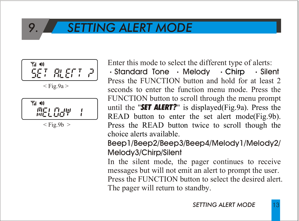### *9. SETTING ALERT MODE*



 $<$  Fig.9a  $>$ 

$$
\begin{bmatrix} \mathbb{T}_d & \mathbb{Q} \\ \mathbb{T}_d & \mathbb{T}_d \\ \mathbb{T}_d & \mathbb{T}_d \end{bmatrix} \begin{bmatrix} \mathbb{T}_d & \mathbb{T}_d \\ \mathbb{T}_d & \mathbb{T}_d \end{bmatrix} = \begin{bmatrix} \mathbb{T}_d & \mathbb{T}_d \\ \mathbb{T}_d & \mathbb{T}_d \end{bmatrix}
$$

 $<$  Fig.9b  $>$ 

Enter this mode to select the different type of alerts:

 $\cdot$  Standard Tone  $\cdot$  Melody  $\cdot$  Chirp  $\cdot$  Silent Press the FUNCTION button and hold for at least 2 seconds to enter the function menu mode. Press the FUNCTION button to scroll through the menu prompt until the "*SET ALERT?*" is displayed(Fig.9a). Press the READ button to enter the set alert mode(Fig.9b). Press the READ button twice to scroll though the choice alerts available.

Beep1/Beep2/Beep3/Beep4/Melody1/Melody2/ Melody3/Chirp/Silent

In the silent mode, the pager continues to receive messages but will not emit an alert to prompt the user. Press the FUNCTION button to select the desired alert. The pager will return to standby.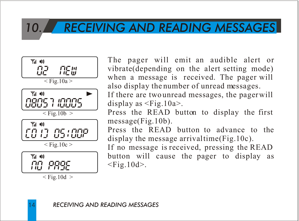### *10. RECEIVING AND READING MESSAGES*



 $\le$  Fig.10d  $>$ 

The pager will emit an audible alert or vibrate(depending on the alert setting mode) when a message is received. The pager will also display the number of unread messages.

If there are two unread messages, the pager will display as <Fig.10a>.

Press the READ button to display the first message(Fig.10b).

Press the READ button to advance to the display the message arrival time(Fig.10c).

If no message is received, pressing the READ button will cause the pager to display as  $<$ Fig.10d $>$ .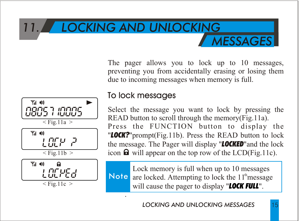### *11. LOCKING AND UNLOCKING MESSAGES*

The pager allows you to lock up to 10 messages, preventing you from accidentally erasing or losing them due to incoming messages when memory is full.

### nans 1 innns  $<$  Fig.11a  $>$ ה אחרו  $\leq$  Fig. 11b  $>$ Yal 40 LOEPER  $\leq$  Fig. 11c  $>$

#### To lock messages

Select the message you want to lock by pressing the READ button to scroll through the memory(Fig.11a). Press the FUNCTION button to display the

"*LOCK?*"prompt(Fig.11b). Press the READ button to lock the message. The Pager will display "*LOCKED*"and the lock icon  $\mathbf{\Omega}$  will appear on the top row of the LCD(Fig.11c).

.

Note are locked. Attempting to lock the 11<sup>th</sup> message Lock memory is full when up to 10 messages will cause the pager to display "*LOCK FULL*".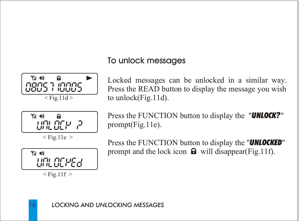#### To unlock messages





 $<$  Fig.11e  $>$ 



 $<$  Fig. 11f  $>$ 

Locked messages can be unlocked in a similar way. Press the READ button to display the message you wish to unlock(Fig.11d).

Press the FUNCTION button to display the "*UNLOCK?*" prompt(Fig.11e).

Press the FUNCTION button to display the "*UNLOCKED*" prompt and the lock icon  $\mathbf{\Omega}$  will disappear(Fig.11f).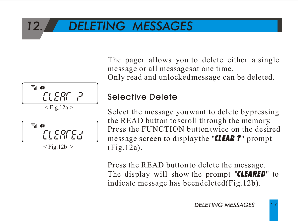### *12. DELETING MESSAGES*





 $<$  Fig.12b  $>$ 

The pager allows you to delete either a single message or all messages at one time. Only read and unlocked message can be deleted.

#### Selective Delete

Select the message you want to delete by pressing the READ button to scroll through the memory. Press the FUNCTION button twice on the desired message screen to display the "*CLEAR ?*" prompt (Fig.12a).

Press the READ button to delete the message. The display will show the prompt "*CLEARED*" to indicate message has been deleted(Fig.12b).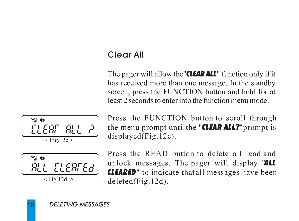#### Clear All

The pager will allow the"*CLEAR ALL*" function only if it has received more than one message. In the standby screen, press the FUNCTION button and hold for at least 2 seconds to enter into the function menu mode.





Press the FUNCTION button to scroll through the menu prompt until the "*CLEAR ALL?*"prompt is displayed(Fig.12c).

Press the READ button to delete all read and unlock messages. The pager will display "*ALL CLEARED*" to indicate that all messages have been deleted(Fig.12d).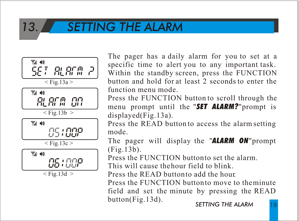### *13. SETTING THE ALARM*



The pager has a daily alarm for you to set at a specific time to alert you to any important task. Within the standby screen, press the FUNCTION button and hold for at least 2 seconds to enter the function menu mode.

Press the FUNCTION button to scroll through the menu prompt until the "*SET ALARM?*"prompt is displayed(Fig.13a).

Press the READ button to access the alarm setting mode.

The pager will display the "*ALARM ON*"prompt (Fig.13b).

Press the FUNCTION button to set the alarm.

This will cause the hour field to blink.

Press the READ button to add the hour.

Press the FUNCTION button to move to the minute field and set the minute by pressing the READ button(Fig.13d).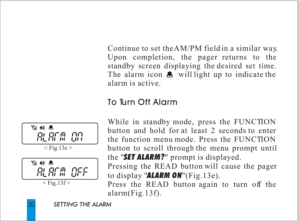Continue to set the AM/PM field in a similar way. Upon completion, the pager returns to the standby screen displaying the desired set time. The alarm icon  $\triangle$  will light up to indicate the alarm is active.

#### To Turn Off Alarm



While in standby mode, press the FUNCTION button and hold for at least 2 seconds to enter the function menu mode. Press the FUNCTION button to scroll through the menu prompt until the "*SET ALARM?*" prompt is displayed. Pressing the READ button will cause the pager to display "*ALARM ON*"(Fig.13e).

Press the READ button again to turn off the alarm(Fig.13f).

**20**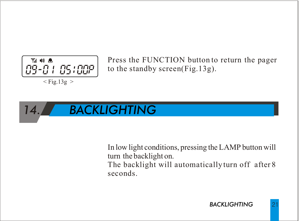

Press the FUNCTION button to return the pager to the standby screen(Fig.13g).

### *14. BACKLIGHTING*

In low light conditions, pressing the LAMP button will turn the backlight on. The backlight will automatically turn off after 8 seconds.

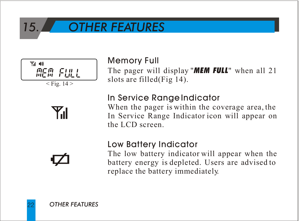### *15. OTHER FEATURES*



# $\mathbf{Y}_{\mathbf{d}}$

#### Memory Full

The pager will display "*MEM FULL*" when all 21 slots are filled(Fig 14).

#### In Service Range Indicator

When the pager is within the coverage area, the In Service Range Indicator icon will appear on the LCD screen.

#### Low Battery Indicator

The low battery indicator will appear when the battery energy is depleted. Users are advised to replace the battery immediately.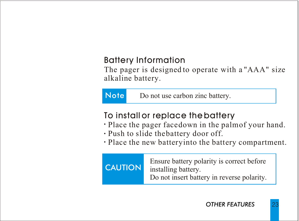#### Battery Information

The pager is designed to operate with a "AAA" size alkaline battery.

Note Do not use carbon zinc battery.

#### To install or replace the battery

- Place the pager facedown in the palm of your hand.
- Push to slide the battery door off.
- Place the new battery into the battery compartment.

| Ensure battery polarity is correct before<br><b>CAUTION</b><br>installing battery.<br>Do not insert battery in reverse polarity. |
|----------------------------------------------------------------------------------------------------------------------------------|
|                                                                                                                                  |